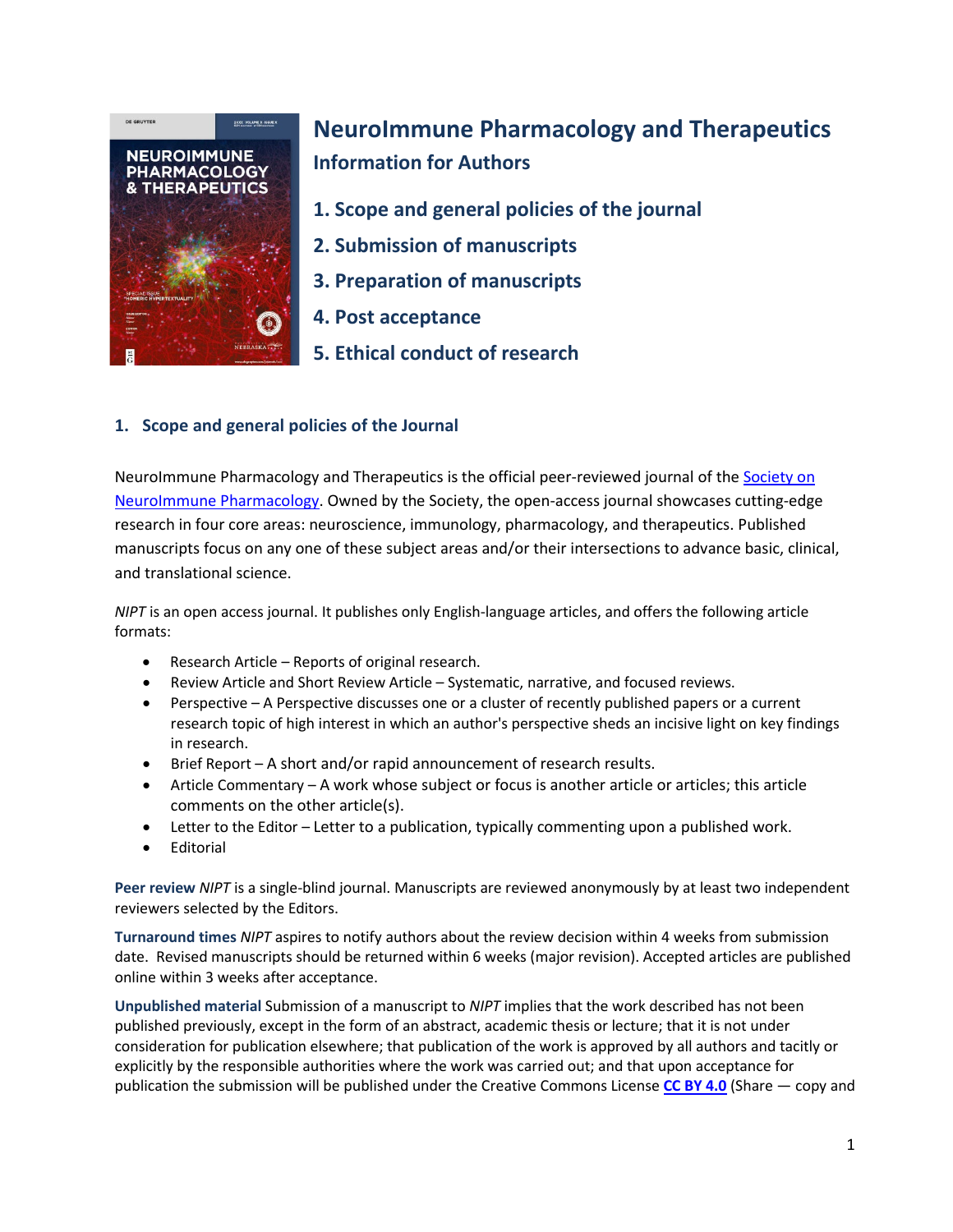

# **NeuroImmune Pharmacology and Therapeutics Information for Authors**

- **1. Scope and general policies of the journal**
- **2. Submission of manuscripts**
- **3. Preparation of manuscripts**
- **4. Post acceptance**
- **5. Ethical conduct of research**

# **1. Scope and general policies of the Journal**

NeuroImmune Pharmacology and Therapeutics is the official peer-reviewed journal of th[e Society on](https://s-nip.org/publications)  [NeuroImmune Pharmacology.](https://s-nip.org/publications) Owned by the Society, the open-access journal showcases cutting-edge research in four core areas: neuroscience, immunology, pharmacology, and therapeutics. Published manuscripts focus on any one of these subject areas and/or their intersections to advance basic, clinical, and translational science.

*NIPT* is an open access journal. It publishes only English-language articles, and offers the following article formats:

- Research Article Reports of original research.
- Review Article and Short Review Article Systematic, narrative, and focused reviews.
- Perspective A Perspective discusses one or a cluster of recently published papers or a current research topic of high interest in which an author's perspective sheds an incisive light on key findings in research.
- Brief Report A short and/or rapid announcement of research results.
- Article Commentary A work whose subject or focus is another article or articles; this article comments on the other article(s).
- Letter to the Editor Letter to a publication, typically commenting upon a published work.
- **Fditorial**

**Peer review** *NIPT* is a single-blind journal. Manuscripts are reviewed anonymously by at least two independent reviewers selected by the Editors.

**Turnaround times** *NIPT* aspires to notify authors about the review decision within 4 weeks from submission date. Revised manuscripts should be returned within 6 weeks (major revision). Accepted articles are published online within 3 weeks after acceptance.

**Unpublished material** Submission of a manuscript to *NIPT* implies that the work described has not been published previously, except in the form of an abstract, academic thesis or lecture; that it is not under consideration for publication elsewhere; that publication of the work is approved by all authors and tacitly or explicitly by the responsible authorities where the work was carried out; and that upon acceptance for publication the submission will be published under the Creative Commons License **[CC BY](https://creativecommons.org/licenses/by/4.0/) 4.0** (Share — copy and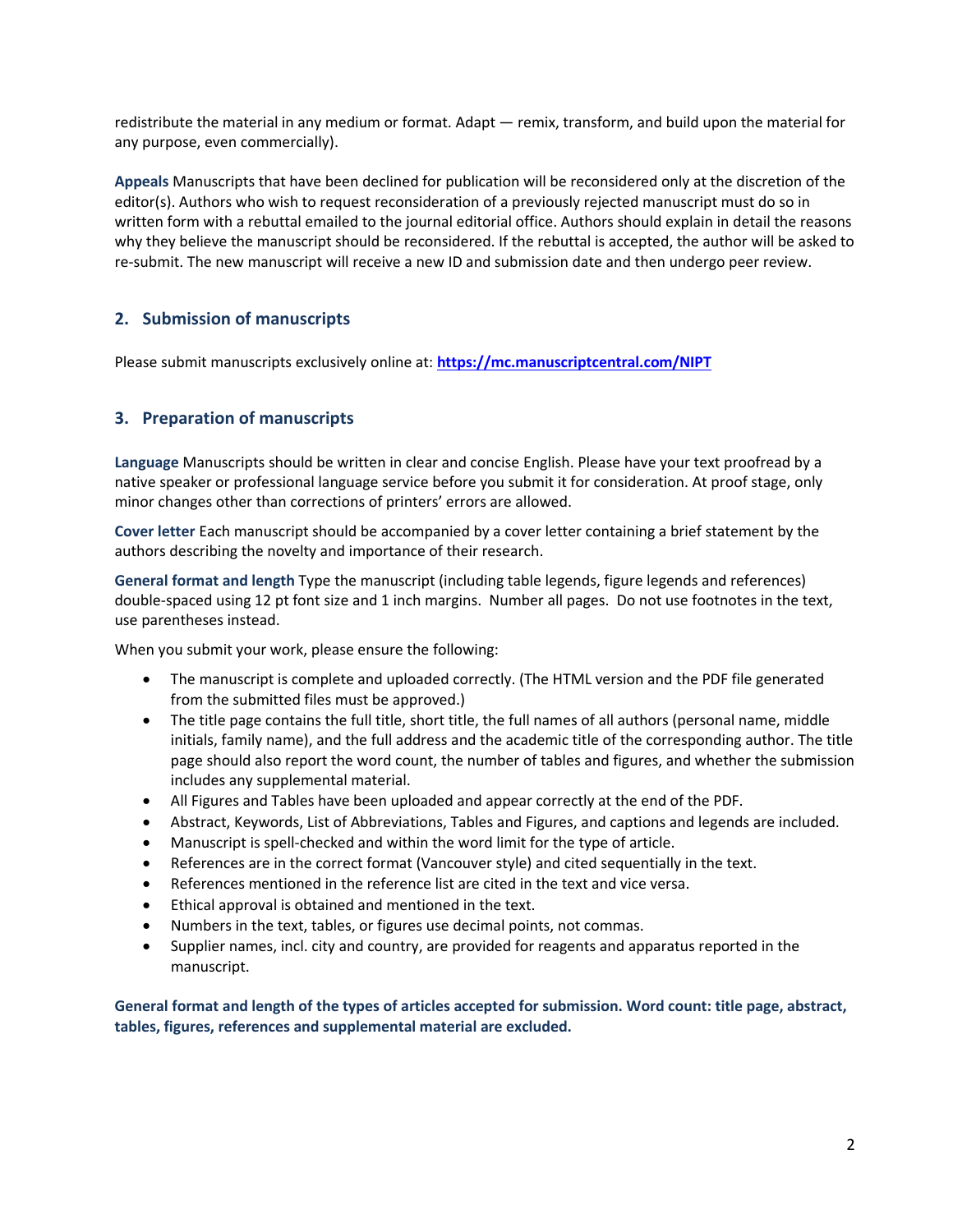redistribute the material in any medium or format. Adapt — remix, transform, and build upon the material for any purpose, even commercially).

**Appeals** Manuscripts that have been declined for publication will be reconsidered only at the discretion of the editor(s). Authors who wish to request reconsideration of a previously rejected manuscript must do so in written form with a rebuttal emailed to the journal editorial office. Authors should explain in detail the reasons why they believe the manuscript should be reconsidered. If the rebuttal is accepted, the author will be asked to re-submit. The new manuscript will receive a new ID and submission date and then undergo peer review.

# **2. Submission of manuscripts**

Please submit manuscripts exclusively online at: **<https://mc.manuscriptcentral.com/NIPT>**

### **3. Preparation of manuscripts**

**Language** Manuscripts should be written in clear and concise English. Please have your text proofread by a native speaker or professional language service before you submit it for consideration. At proof stage, only minor changes other than corrections of printers' errors are allowed.

**Cover letter** Each manuscript should be accompanied by a cover letter containing a brief statement by the authors describing the novelty and importance of their research.

**General format and length** Type the manuscript (including table legends, figure legends and references) double-spaced using 12 pt font size and 1 inch margins. Number all pages. Do not use footnotes in the text, use parentheses instead.

When you submit your work, please ensure the following:

- The manuscript is complete and uploaded correctly. (The HTML version and the PDF file generated from the submitted files must be approved.)
- The title page contains the full title, short title, the full names of all authors (personal name, middle initials, family name), and the full address and the academic title of the corresponding author. The title page should also report the word count, the number of tables and figures, and whether the submission includes any supplemental material.
- All Figures and Tables have been uploaded and appear correctly at the end of the PDF.
- Abstract, Keywords, List of Abbreviations, Tables and Figures, and captions and legends are included.
- Manuscript is spell-checked and within the word limit for the type of article.
- References are in the correct format (Vancouver style) and cited sequentially in the text.
- References mentioned in the reference list are cited in the text and vice versa.
- Ethical approval is obtained and mentioned in the text.
- Numbers in the text, tables, or figures use decimal points, not commas.
- Supplier names, incl. city and country, are provided for reagents and apparatus reported in the manuscript.

**General format and length of the types of articles accepted for submission. Word count: title page, abstract, tables, figures, references and supplemental material are excluded.**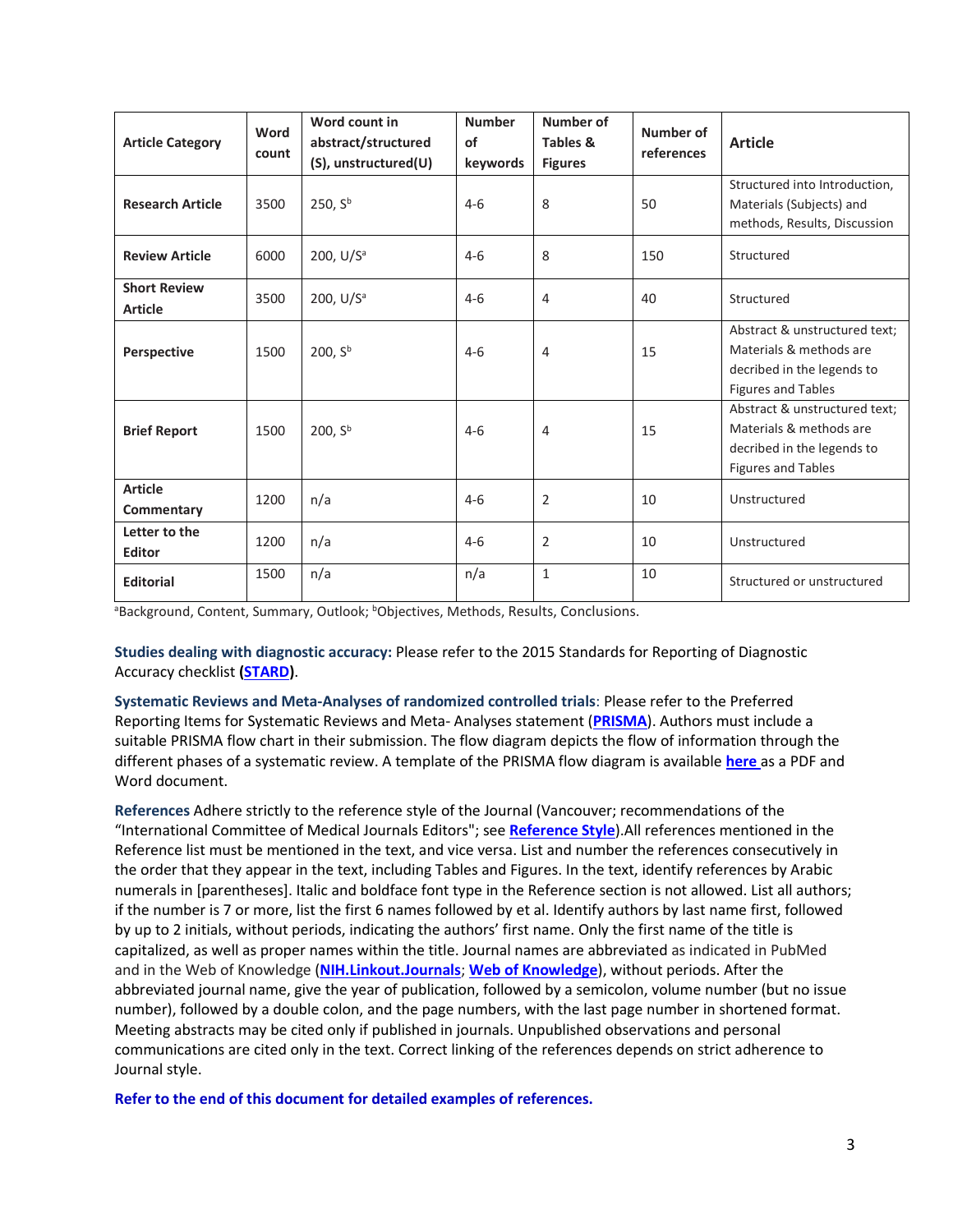| <b>Article Category</b>               | Word<br>count | Word count in<br>abstract/structured | <b>Number</b><br>of | Number of<br>Tables & | Number of<br>references | <b>Article</b>                                                                                               |
|---------------------------------------|---------------|--------------------------------------|---------------------|-----------------------|-------------------------|--------------------------------------------------------------------------------------------------------------|
|                                       |               | (S), unstructured(U)                 | keywords            | <b>Figures</b>        |                         |                                                                                                              |
| <b>Research Article</b>               | 3500          | 250, Sb                              | $4-6$               | 8                     | 50                      | Structured into Introduction,<br>Materials (Subjects) and<br>methods, Results, Discussion                    |
| <b>Review Article</b>                 | 6000          | 200, U/S <sup>a</sup>                | $4 - 6$             | 8                     | 150                     | Structured                                                                                                   |
| <b>Short Review</b><br><b>Article</b> | 3500          | 200, $U/Sa$                          | $4 - 6$             | 4                     | 40                      | Structured                                                                                                   |
| Perspective                           | 1500          | 200, S <sup>b</sup>                  | $4 - 6$             | 4                     | 15                      | Abstract & unstructured text;<br>Materials & methods are<br>decribed in the legends to<br>Figures and Tables |
| <b>Brief Report</b>                   | 1500          | 200, S <sup>b</sup>                  | $4-6$               | 4                     | 15                      | Abstract & unstructured text;<br>Materials & methods are<br>decribed in the legends to<br>Figures and Tables |
| <b>Article</b><br>Commentary          | 1200          | n/a                                  | $4-6$               | $\overline{2}$        | 10                      | Unstructured                                                                                                 |
| Letter to the<br>Editor               | 1200          | n/a                                  | $4 - 6$             | $\overline{2}$        | 10                      | Unstructured                                                                                                 |
| <b>Editorial</b>                      | 1500          | n/a                                  | n/a                 | $\mathbf{1}$          | 10                      | Structured or unstructured                                                                                   |

aBackground, Content, Summary, Outlook; bObjectives, Methods, Results, Conclusions.

**Studies dealing with diagnostic accuracy:** Please refer to the 2015 Standards for Reporting of Diagnostic Accuracy checklist **[\(STARD\)](http://www.equator-network.org/reporting-guidelines/stard/)**.

**Systematic Reviews and Meta-Analyses of randomized controlled trials**: Please refer to the Preferred Reporting Items for Systematic Reviews and Meta- Analyses statement (**[PRISMA](http://www.equator-network.org/reporting-guidelines/prisma/)**). Authors must include a suitable PRISMA flow chart in their submission. The flow diagram depicts the flow of information through the different phases of a systematic review. A template of the PRISMA flow diagram is available **[here](http://onlinelibrary.wiley.com/journal/10.1002/(ISSN)1365-2168/homepage/BJS_PRISMA_template.doc)** as a PDF and Word document.

**References** Adhere strictly to the reference style of the Journal (Vancouver; recommendations of the "International Committee of Medical Journals Editors"; see **[Reference Style](http://www.biomedicaleditor.com/vancouver-style.html)**).All references mentioned in the Reference list must be mentioned in the text, and vice versa. List and number the references consecutively in the order that they appear in the text, including Tables and Figures. In the text, identify references by Arabic numerals in [parentheses]. Italic and boldface font type in the Reference section is not allowed. List all authors; if the number is 7 or more, list the first 6 names followed by et al. Identify authors by last name first, followed by up to 2 initials, without periods, indicating the authors' first name. Only the first name of the title is capitalized, as well as proper names within the title. Journal names are abbreviated as indicated in PubMed and in the Web of Knowledge (**[NIH.Linkout.Journals](http://www.ncbi.nlm.nih.gov/projects/linkout/journals/jourlists.fcgi?type=journals&typeid=1&format=html&show=C&operation=Show)**; **[Web of Knowledge](https://support.clarivate.com/ScientificandAcademicResearch/s/article/Standard-journal-abbreviations-used-in-online-databases?language=en_US)**), without periods. After the abbreviated journal name, give the year of publication, followed by a semicolon, volume number (but no issue number), followed by a double colon, and the page numbers, with the last page number in shortened format. Meeting abstracts may be cited only if published in journals. Unpublished observations and personal communications are cited only in the text. Correct linking of the references depends on strict adherence to Journal style.

**Refer to the end of this document for detailed examples of references.**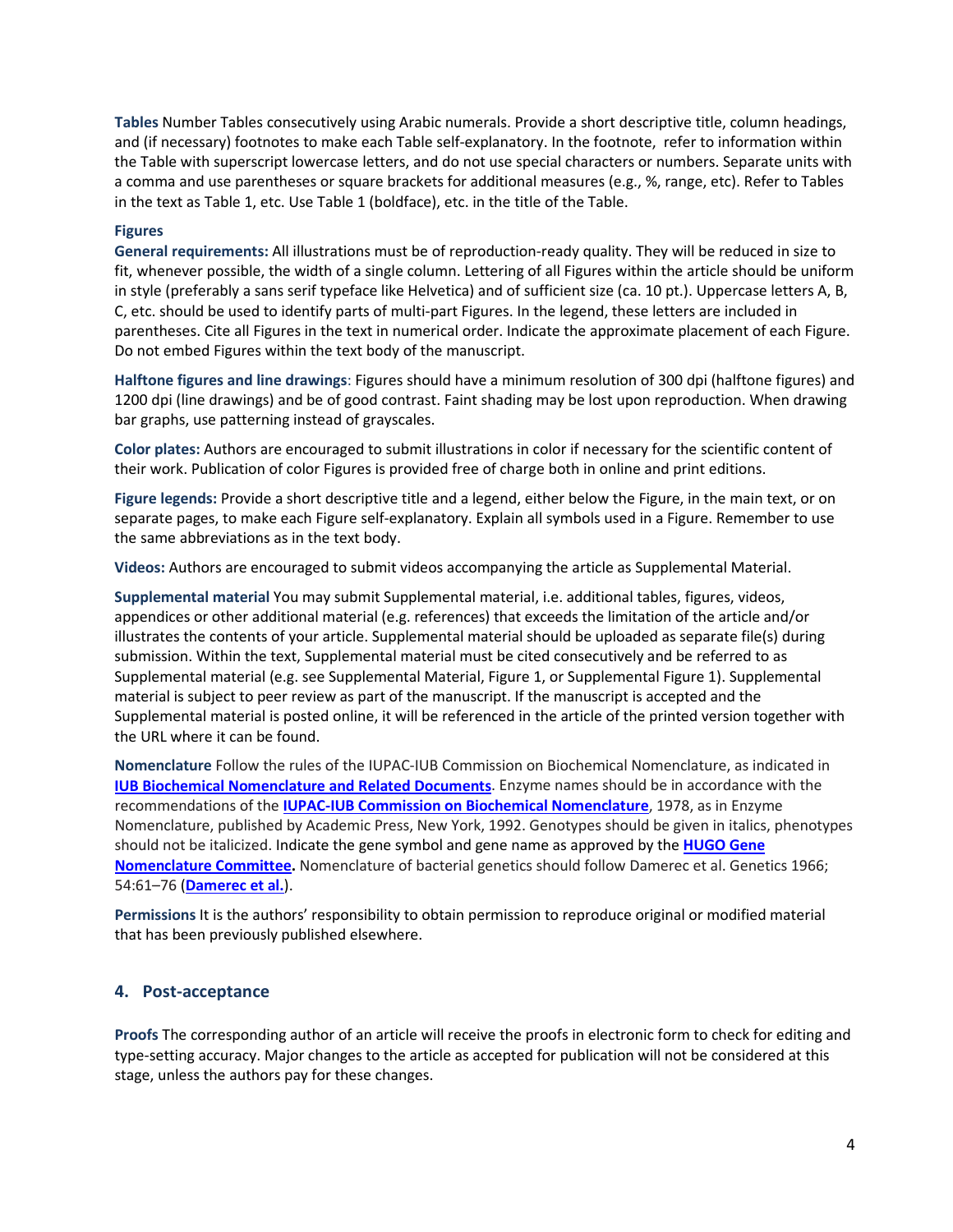**Tables** Number Tables consecutively using Arabic numerals. Provide a short descriptive title, column headings, and (if necessary) footnotes to make each Table self-explanatory. In the footnote, refer to information within the Table with superscript lowercase letters, and do not use special characters or numbers. Separate units with a comma and use parentheses or square brackets for additional measures (e.g., %, range, etc). Refer to Tables in the text as Table 1, etc. Use Table 1 (boldface), etc. in the title of the Table.

#### **Figures**

**General requirements:** All illustrations must be of reproduction-ready quality. They will be reduced in size to fit, whenever possible, the width of a single column. Lettering of all Figures within the article should be uniform in style (preferably a sans serif typeface like Helvetica) and of sufficient size (ca. 10 pt.). Uppercase letters A, B, C, etc. should be used to identify parts of multi-part Figures. In the legend, these letters are included in parentheses. Cite all Figures in the text in numerical order. Indicate the approximate placement of each Figure. Do not embed Figures within the text body of the manuscript.

**Halftone figures and line drawings**: Figures should have a minimum resolution of 300 dpi (halftone figures) and 1200 dpi (line drawings) and be of good contrast. Faint shading may be lost upon reproduction. When drawing bar graphs, use patterning instead of grayscales.

**Color plates:** Authors are encouraged to submit illustrations in color if necessary for the scientific content of their work. Publication of color Figures is provided free of charge both in online and print editions.

**Figure legends:** Provide a short descriptive title and a legend, either below the Figure, in the main text, or on separate pages, to make each Figure self-explanatory. Explain all symbols used in a Figure. Remember to use the same abbreviations as in the text body.

**Videos:** Authors are encouraged to submit videos accompanying the article as Supplemental Material.

**Supplemental material** You may submit Supplemental material, i.e. additional tables, figures, videos, appendices or other additional material (e.g. references) that exceeds the limitation of the article and/or illustrates the contents of your article. Supplemental material should be uploaded as separate file(s) during submission. Within the text, Supplemental material must be cited consecutively and be referred to as Supplemental material (e.g. see Supplemental Material, Figure 1, or Supplemental Figure 1). Supplemental material is subject to peer review as part of the manuscript. If the manuscript is accepted and the Supplemental material is posted online, it will be referenced in the article of the printed version together with the URL where it can be found.

**Nomenclature** Follow the rules of the IUPAC-IUB Commission on Biochemical Nomenclature, as indicated in **[IUB Biochemical Nomenclature and Related Documents](https://www.google.com/url?sa=t&rct=j&q=&esrc=s&source=web&cd=1&cad=rja&uact=8&ved=0ahUKEwjy3suzu8zJAhWFDSwKHbB0BkgQFggiMAA&url=http%3A%2F%2Fwww.chem.qmul.ac.uk%2Fiupac%2Fbibliog%2Fwhite.html&usg=AFQjCNGtXUjlHF3LqzO2eplfKEY2t4TTSA)**. Enzyme names should be in accordance with the recommendations of the **[IUPAC-IUB Commission on Biochemical Nomenclature](https://www.google.com/url?sa=t&rct=j&q=&esrc=s&source=web&cd=2&cad=rja&uact=8&ved=0ahUKEwjX487PvMzJAhWF1A4KHW1uBqgQFggoMAE&url=http%3A%2F%2Fwww.chem.qmul.ac.uk%2Fiubmb%2Fnomenclature%2F&usg=AFQjCNGpxdmjv3P8eOsMQjV5dGr86I7VKA)**, 1978, as in Enzyme Nomenclature, published by Academic Press, New York, 1992. Genotypes should be given in italics, phenotypes should not be italicized. Indicate the gene symbol and gene name as approved by the **[HUGO Gene](http://www.genenames.org/)  [Nomenclature Committee.](http://www.genenames.org/)** Nomenclature of bacterial genetics should follow Damerec et al. Genetics 1966; 54:61–76 (**[Damerec et al.](https://www.google.com/url?sa=t&rct=j&q=&esrc=s&source=web&cd=2&ved=0ahUKEwj_1dmK2MnJAhXGWCwKHWiLCCkQFggsMAE&url=http%3A%2F%2Fwww.genetics.org%2Fcontent%2F54%2F1%2F61.full.pdf&usg=AFQjCNHbzFe8PyF4g64y_ih0h0Ia2W9x5w&cad=rja)**).

**Permissions** It is the authors' responsibility to obtain permission to reproduce original or modified material that has been previously published elsewhere.

#### **4. Post-acceptance**

**Proofs** The corresponding author of an article will receive the proofs in electronic form to check for editing and type-setting accuracy. Major changes to the article as accepted for publication will not be considered at this stage, unless the authors pay for these changes.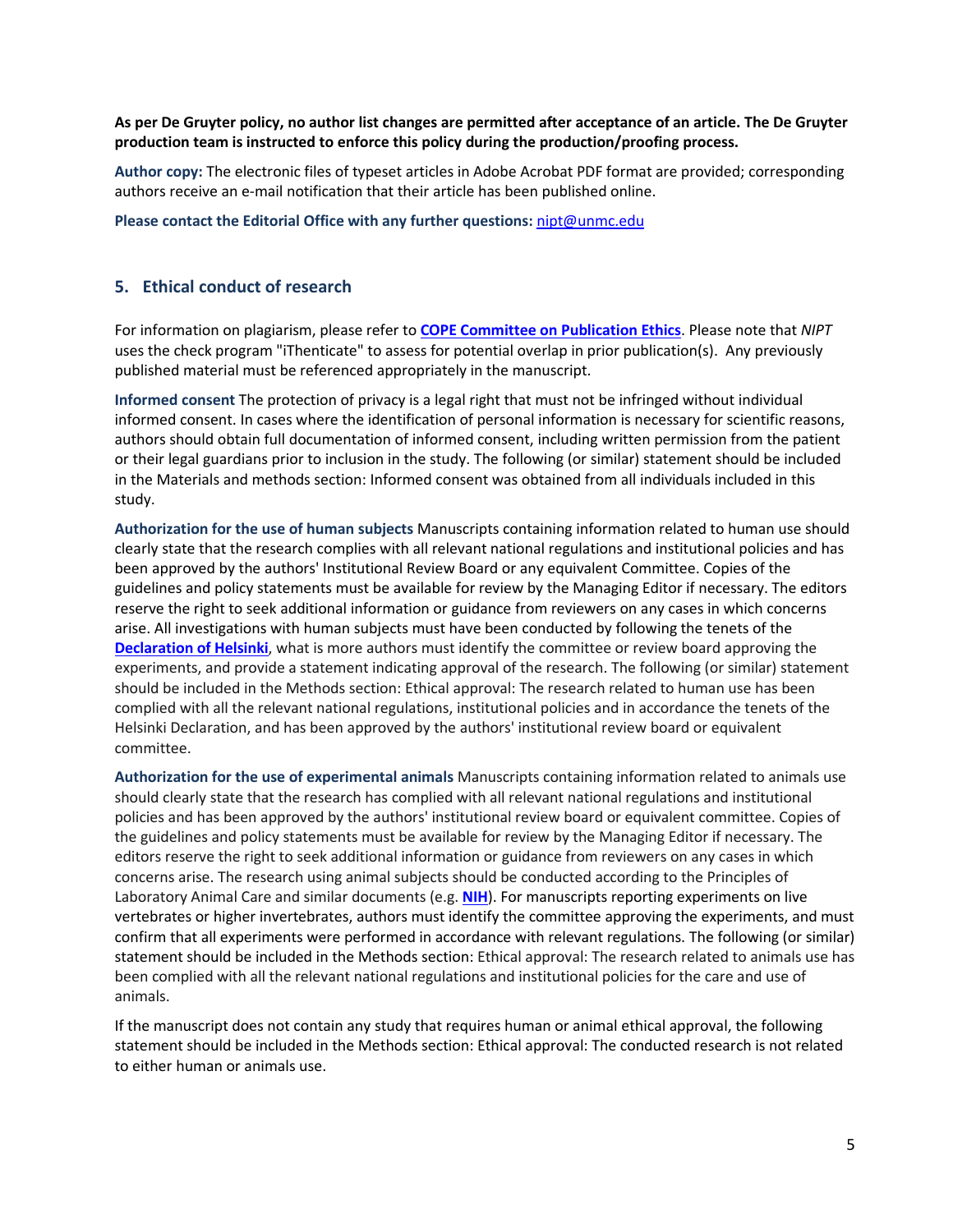#### **As per De Gruyter policy, no author list changes are permitted after acceptance of an article. The De Gruyter production team is instructed to enforce this policy during the production/proofing process.**

**Author copy:** The electronic files of typeset articles in Adobe Acrobat PDF format are provided; corresponding authors receive an e-mail notification that their article has been published online.

**Please contact the Editorial Office with any further questions:** [nipt@unmc.edu](mailto:nipt@unmc.edu)

#### **5. Ethical conduct of research**

For information on plagiarism, please refer to **[COPE Committee on Publication Ethics](http://publicationethics.org/files/Discussion%20document.pdf)**. Please note that *NIPT* uses the check program "iThenticate" to assess for potential overlap in prior publication(s). Any previously published material must be referenced appropriately in the manuscript.

**Informed consent** The protection of privacy is a legal right that must not be infringed without individual informed consent. In cases where the identification of personal information is necessary for scientific reasons, authors should obtain full documentation of informed consent, including written permission from the patient or their legal guardians prior to inclusion in the study. The following (or similar) statement should be included in the Materials and methods section: Informed consent was obtained from all individuals included in this study.

**Authorization for the use of human subjects** Manuscripts containing information related to human use should clearly state that the research complies with all relevant national regulations and institutional policies and has been approved by the authors' Institutional Review Board or any equivalent Committee. Copies of the guidelines and policy statements must be available for review by the Managing Editor if necessary. The editors reserve the right to seek additional information or guidance from reviewers on any cases in which concerns arise. All investigations with human subjects must have been conducted by following the tenets of the **[Declaration of Helsinki](https://www.wma.net/policies-post/wma-declaration-of-helsinki-ethical-principles-for-medical-research-involving-human-subjects/)**, what is more authors must identify the committee or review board approving the experiments, and provide a statement indicating approval of the research. The following (or similar) statement should be included in the Methods section: Ethical approval: The research related to human use has been complied with all the relevant national regulations, institutional policies and in accordance the tenets of the Helsinki Declaration, and has been approved by the authors' institutional review board or equivalent committee.

**Authorization for the use of experimental animals** Manuscripts containing information related to animals use should clearly state that the research has complied with all relevant national regulations and institutional policies and has been approved by the authors' institutional review board or equivalent committee. Copies of the guidelines and policy statements must be available for review by the Managing Editor if necessary. The editors reserve the right to seek additional information or guidance from reviewers on any cases in which concerns arise. The research using animal subjects should be conducted according to the Principles of Laboratory Animal Care and similar documents (e.g. **[NIH](http://grants.nih.gov/grants/olaw/olaw.htm)**). For manuscripts reporting experiments on live vertebrates or higher invertebrates, authors must identify the committee approving the experiments, and must confirm that all experiments were performed in accordance with relevant regulations. The following (or similar) statement should be included in the Methods section: Ethical approval: The research related to animals use has been complied with all the relevant national regulations and institutional policies for the care and use of animals.

If the manuscript does not contain any study that requires human or animal ethical approval, the following statement should be included in the Methods section: Ethical approval: The conducted research is not related to either human or animals use.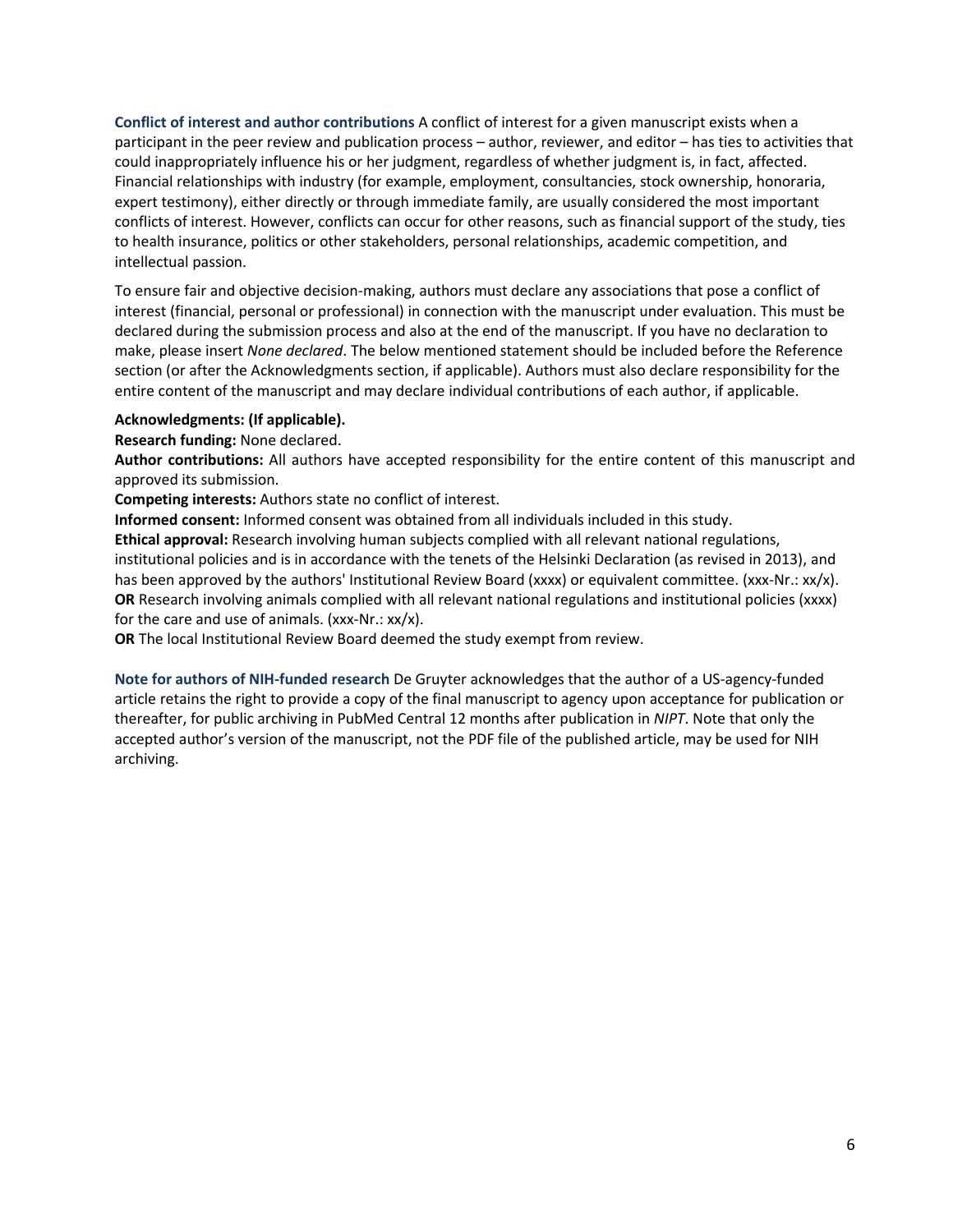**Conflict of interest and author contributions** A conflict of interest for a given manuscript exists when a participant in the peer review and publication process – author, reviewer, and editor – has ties to activities that could inappropriately influence his or her judgment, regardless of whether judgment is, in fact, affected. Financial relationships with industry (for example, employment, consultancies, stock ownership, honoraria, expert testimony), either directly or through immediate family, are usually considered the most important conflicts of interest. However, conflicts can occur for other reasons, such as financial support of the study, ties to health insurance, politics or other stakeholders, personal relationships, academic competition, and intellectual passion.

To ensure fair and objective decision-making, authors must declare any associations that pose a conflict of interest (financial, personal or professional) in connection with the manuscript under evaluation. This must be declared during the submission process and also at the end of the manuscript. If you have no declaration to make, please insert *None declared*. The below mentioned statement should be included before the Reference section (or after the Acknowledgments section, if applicable). Authors must also declare responsibility for the entire content of the manuscript and may declare individual contributions of each author, if applicable.

#### **Acknowledgments: (If applicable).**

**Research funding:** None declared.

**Author contributions:** All authors have accepted responsibility for the entire content of this manuscript and approved its submission.

**Competing interests:** Authors state no conflict of interest.

**Informed consent:** Informed consent was obtained from all individuals included in this study.

**Ethical approval:** Research involving human subjects complied with all relevant national regulations, institutional policies and is in accordance with the tenets of the Helsinki Declaration (as revised in 2013), and has been approved by the authors' Institutional Review Board (xxxx) or equivalent committee. (xxx-Nr.: xx/x). **OR** Research involving animals complied with all relevant national regulations and institutional policies (xxxx) for the care and use of animals. (xxx-Nr.: xx/x).

**OR** The local Institutional Review Board deemed the study exempt from review.

**Note for authors of NIH-funded research** De Gruyter acknowledges that the author of a US-agency-funded article retains the right to provide a copy of the final manuscript to agency upon acceptance for publication or thereafter, for public archiving in PubMed Central 12 months after publication in *NIPT*. Note that only the accepted author's version of the manuscript, not the PDF file of the published article, may be used for NIH archiving.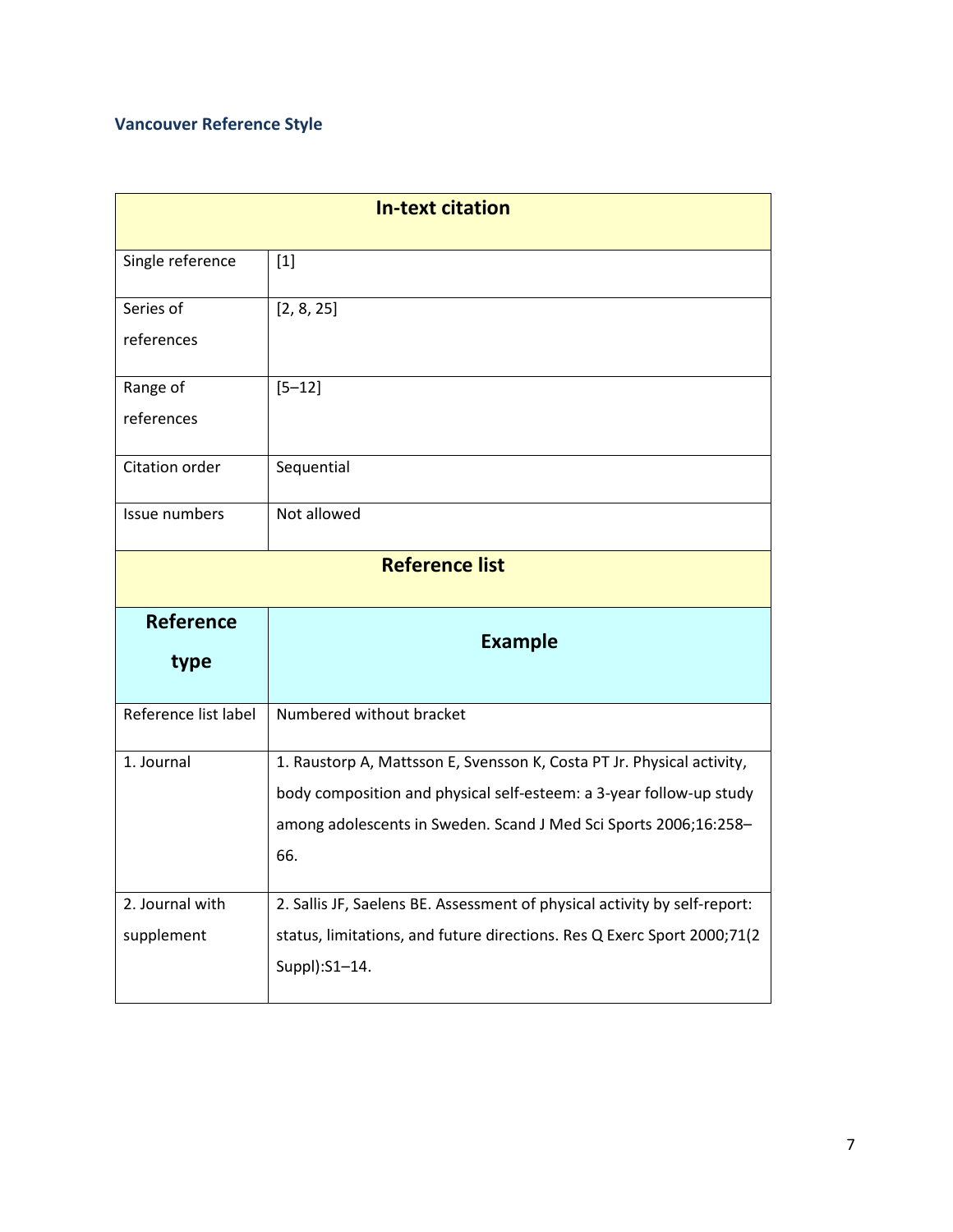# **Vancouver Reference Style**

| <b>In-text citation</b> |                                                                                          |  |  |
|-------------------------|------------------------------------------------------------------------------------------|--|--|
| Single reference        | $[1]$                                                                                    |  |  |
| Series of               | [2, 8, 25]                                                                               |  |  |
| references              |                                                                                          |  |  |
| Range of                | $[5 - 12]$                                                                               |  |  |
| references              |                                                                                          |  |  |
| Citation order          | Sequential                                                                               |  |  |
| Issue numbers           | Not allowed                                                                              |  |  |
| <b>Reference list</b>   |                                                                                          |  |  |
| <b>Reference</b>        | <b>Example</b>                                                                           |  |  |
| type                    |                                                                                          |  |  |
| Reference list label    | Numbered without bracket                                                                 |  |  |
| 1. Journal              | 1. Raustorp A, Mattsson E, Svensson K, Costa PT Jr. Physical activity,                   |  |  |
|                         | body composition and physical self-esteem: a 3-year follow-up study                      |  |  |
|                         | among adolescents in Sweden. Scand J Med Sci Sports 2006;16:258-                         |  |  |
|                         | 66.                                                                                      |  |  |
| 2. Journal with         | 2. Sallis JF, Saelens BE. Assessment of physical activity by self-report:                |  |  |
| supplement              | status, limitations, and future directions. Res Q Exerc Sport 2000;71(2<br>Suppl):S1-14. |  |  |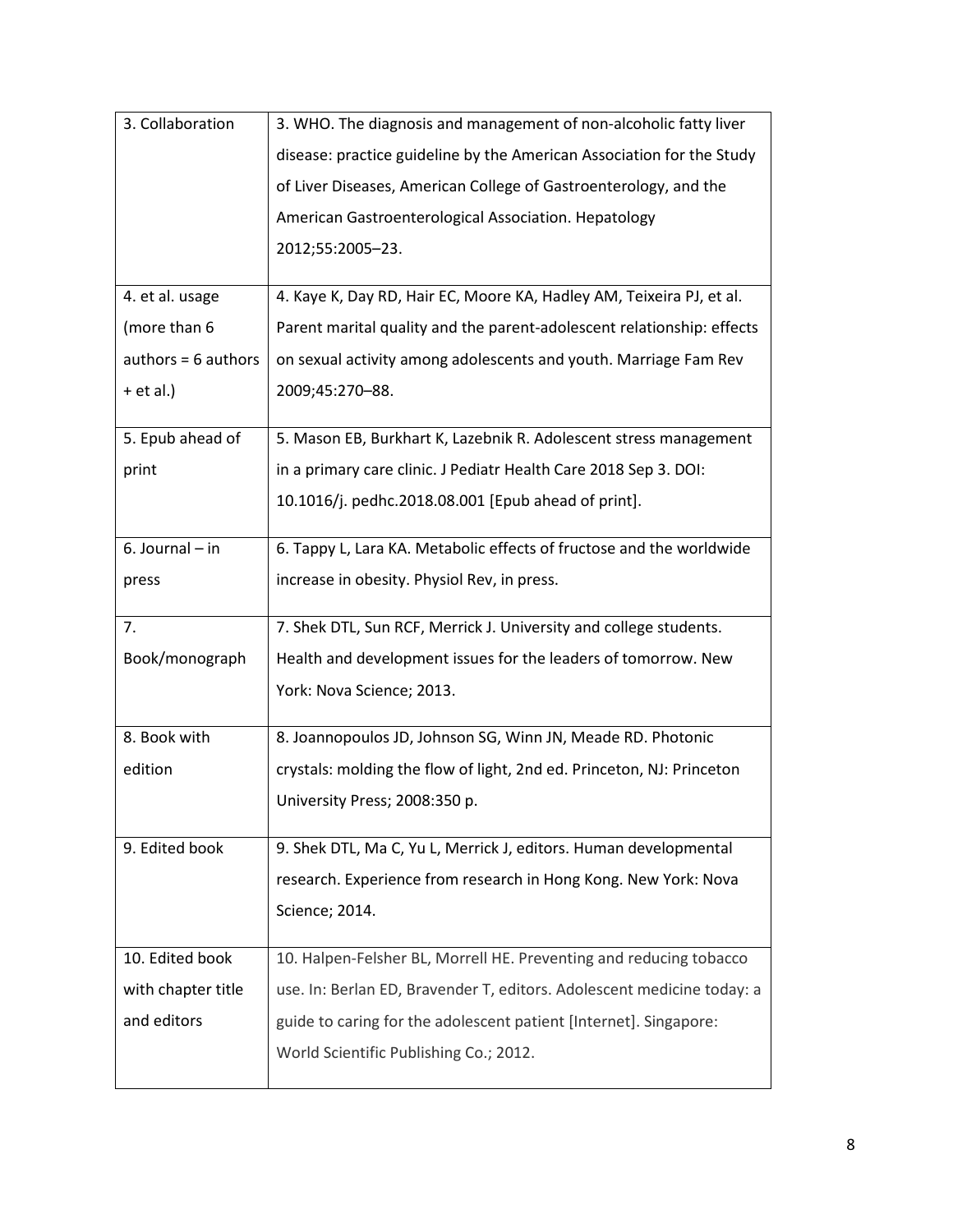| 3. Collaboration      | 3. WHO. The diagnosis and management of non-alcoholic fatty liver      |  |  |  |
|-----------------------|------------------------------------------------------------------------|--|--|--|
|                       | disease: practice guideline by the American Association for the Study  |  |  |  |
|                       | of Liver Diseases, American College of Gastroenterology, and the       |  |  |  |
|                       | American Gastroenterological Association. Hepatology                   |  |  |  |
|                       | 2012;55:2005-23.                                                       |  |  |  |
|                       |                                                                        |  |  |  |
| 4. et al. usage       | 4. Kaye K, Day RD, Hair EC, Moore KA, Hadley AM, Teixeira PJ, et al.   |  |  |  |
| (more than 6          | Parent marital quality and the parent-adolescent relationship: effects |  |  |  |
| $authors = 6 authors$ | on sexual activity among adolescents and youth. Marriage Fam Rev       |  |  |  |
| $+$ et al.)           | 2009;45:270-88.                                                        |  |  |  |
|                       |                                                                        |  |  |  |
| 5. Epub ahead of      | 5. Mason EB, Burkhart K, Lazebnik R. Adolescent stress management      |  |  |  |
| print                 | in a primary care clinic. J Pediatr Health Care 2018 Sep 3. DOI:       |  |  |  |
|                       | 10.1016/j. pedhc.2018.08.001 [Epub ahead of print].                    |  |  |  |
| 6. Journal - in       | 6. Tappy L, Lara KA. Metabolic effects of fructose and the worldwide   |  |  |  |
| press                 | increase in obesity. Physiol Rev, in press.                            |  |  |  |
|                       |                                                                        |  |  |  |
| 7.                    | 7. Shek DTL, Sun RCF, Merrick J. University and college students.      |  |  |  |
|                       |                                                                        |  |  |  |
| Book/monograph        | Health and development issues for the leaders of tomorrow. New         |  |  |  |
|                       | York: Nova Science; 2013.                                              |  |  |  |
|                       |                                                                        |  |  |  |
| 8. Book with          | 8. Joannopoulos JD, Johnson SG, Winn JN, Meade RD. Photonic            |  |  |  |
| edition               | crystals: molding the flow of light, 2nd ed. Princeton, NJ: Princeton  |  |  |  |
|                       | University Press; 2008:350 p.                                          |  |  |  |
|                       |                                                                        |  |  |  |
| 9. Edited book        | 9. Shek DTL, Ma C, Yu L, Merrick J, editors. Human developmental       |  |  |  |
|                       | research. Experience from research in Hong Kong. New York: Nova        |  |  |  |
|                       | Science; 2014.                                                         |  |  |  |
| 10. Edited book       | 10. Halpen-Felsher BL, Morrell HE. Preventing and reducing tobacco     |  |  |  |
| with chapter title    | use. In: Berlan ED, Bravender T, editors. Adolescent medicine today: a |  |  |  |
| and editors           | guide to caring for the adolescent patient [Internet]. Singapore:      |  |  |  |
|                       | World Scientific Publishing Co.; 2012.                                 |  |  |  |